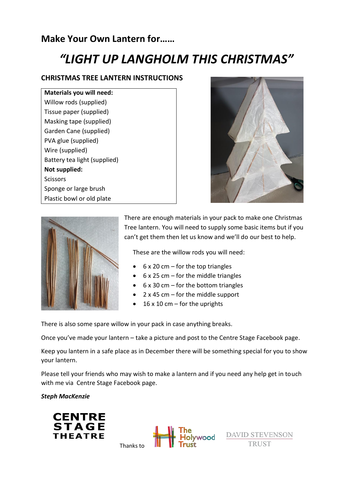# **Make Your Own Lantern for……**

# *"LIGHT UP LANGHOLM THIS CHRISTMAS"*

#### **CHRISTMAS TREE LANTERN INSTRUCTIONS**

| Materials you will need:     |
|------------------------------|
| Willow rods (supplied)       |
| Tissue paper (supplied)      |
| Masking tape (supplied)      |
| Garden Cane (supplied)       |
| PVA glue (supplied)          |
| Wire (supplied)              |
| Battery tea light (supplied) |
| Not supplied:                |
| Scissors                     |
| Sponge or large brush        |
| Plastic bowl or old plate    |





There are enough materials in your pack to make one Christmas Tree lantern. You will need to supply some basic items but if you can't get them then let us know and we'll do our best to help.

These are the willow rods you will need:

- $\bullet$  6 x 20 cm for the top triangles
- $\bullet$  6 x 25 cm for the middle triangles
- 6 x 30 cm for the bottom triangles
- 2  $\times$  45 cm for the middle support
- $\bullet$  16 x 10 cm for the uprights

There is also some spare willow in your pack in case anything breaks.

Once you've made your lantern – take a picture and post to the Centre Stage Facebook page.

Keep you lantern in a safe place as in December there will be something special for you to show your lantern.

Please tell your friends who may wish to make a lantern and if you need any help get in touch with me via Centre Stage Facebook page.

#### *Steph MacKenzie*





**DAVID STEVENSON TRUST**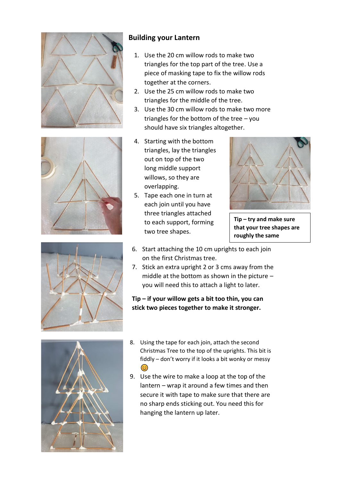



### **Building your Lantern**

- 1. Use the 20 cm willow rods to make two triangles for the top part of the tree. Use a piece of masking tape to fix the willow rods together at the corners.
- 2. Use the 25 cm willow rods to make two triangles for the middle of the tree.
- 3. Use the 30 cm willow rods to make two more triangles for the bottom of the tree – you should have six triangles altogether.
- 4. Starting with the bottom triangles, lay the triangles out on top of the two long middle support willows, so they are overlapping.
- 5. Tape each one in turn at each join until you have three triangles attached to each support, forming two tree shapes.



**Tip – try and make sure that your tree shapes are roughly the same**

- 6. Start attaching the 10 cm uprights to each join on the first Christmas tree.
- 7. Stick an extra upright 2 or 3 cms away from the middle at the bottom as shown in the picture – you will need this to attach a light to later.

**Tip – if your willow gets a bit too thin, you can stick two pieces together to make it stronger.**



- 8. Using the tape for each join, attach the second Christmas Tree to the top of the uprights. This bit is fiddly – don't worry if it looks a bit wonky or messy  $\odot$
- 9. Use the wire to make a loop at the top of the lantern – wrap it around a few times and then secure it with tape to make sure that there are no sharp ends sticking out. You need this for hanging the lantern up later.